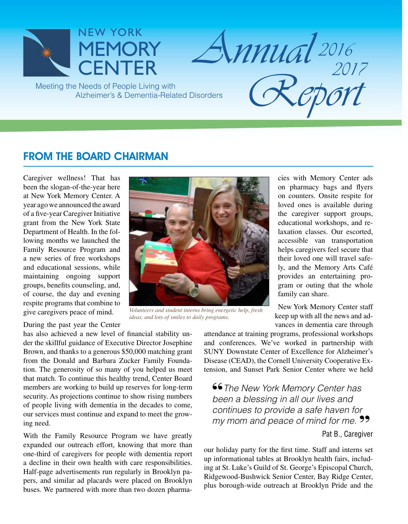

FROM THE BOARD CHAIRMAN

Caregiver wellness! That has been the slogan-of-the-year here at New York Memory Center. A year ago we announced the award of a five-year Caregiver Initiative grant from the New York State Department of Health. In the following months we launched the Family Resource Program and a new series of free workshops and educational sessions, while maintaining ongoing support groups, benefits counseling, and, of course, the day and evening respite programs that combine to give caregivers peace of mind.

During the past year the Center

has also achieved a new level of financial stability under the skillful guidance of Executive Director Josephine Brown, and thanks to a generous \$50,000 matching grant from the Donald and Barbara Zucker Family Foundation. The generosity of so many of you helped us meet that match. To continue this healthy trend, Center Board members are working to build up reserves for long-term security. As projections continue to show rising numbers of people living with dementia in the decades to come, our services must continue and expand to meet the growing need.

With the Family Resource Program we have greatly expanded our outreach effort, knowing that more than one-third of caregivers for people with dementia report a decline in their own health with care responsibilities. Half-page advertisements run regularly in Brooklyn papers, and similar ad placards were placed on Brooklyn buses. We partnered with more than two dozen pharma-



*Volunteers and student interns bring energetic help, fresh ideas, and lots of smiles to daily programs.*

cies with Memory Center ads on pharmacy bags and flyers on counters. Onsite respite for loved ones is available during the caregiver support groups, educational workshops, and relaxation classes. Our escorted, accessible van transportation helps caregivers feel secure that their loved one will travel safely, and the Memory Arts Café provides an entertaining program or outing that the whole family can share.

New York Memory Center staff keep up with all the news and advances in dementia care through

attendance at training programs, professional workshops and conferences. We've worked in partnership with SUNY Downstate Center of Excellence for Alzheimer's Disease (CEAD), the Cornell University Cooperative Extension, and Sunset Park Senior Center where we held

"*The New York Memory Center has been a blessing in all our lives and continues to provide a safe haven for my mom and peace of mind for me.* **">**"

## Pat B., Caregiver

our holiday party for the first time. Staff and interns set up informational tables at Brooklyn health fairs, including at St. Luke's Guild of St. George's Episcopal Church, Ridgewood-Bushwick Senior Center, Bay Ridge Center, plus borough-wide outreach at Brooklyn Pride and the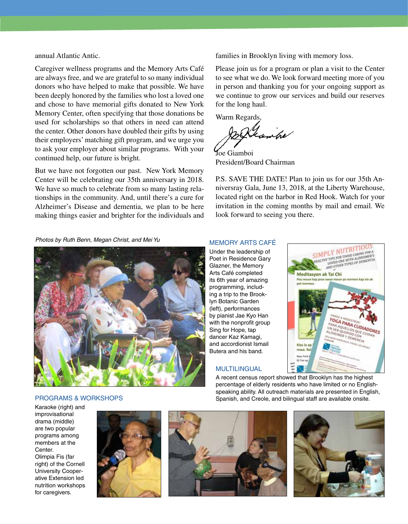annual Atlantic Antic.

Caregiver wellness programs and the Memory Arts Café are always free, and we are grateful to so many individual donors who have helped to make that possible. We have been deeply honored by the families who lost a loved one and chose to have memorial gifts donated to New York Memory Center, often specifying that those donations be used for scholarships so that others in need can attend the center. Other donors have doubled their gifts by using their employers' matching gift program, and we urge you to ask your employer about similar programs. With your continued help, our future is bright.

But we have not forgotten our past. New York Memory Center will be celebrating our 35th anniversary in 2018. We have so much to celebrate from so many lasting relationships in the community. And, until there's a cure for Alzheimer's Disease and dementia, we plan to be here making things easier and brighter for the individuals and families in Brooklyn living with memory loss.

Please join us for a program or plan a visit to the Center to see what we do. We look forward meeting more of you in person and thanking you for your ongoing support as we continue to grow our services and build our reserves for the long haul.

Warm Regards,

antre

Joe Giamboi President/Board Chairman

P.S. SAVE THE DATE! Plan to join us for our 35th Anniversray Gala, June 13, 2018, at the Liberty Warehouse, located right on the harbor in Red Hook. Watch for your invitation in the coming months by mail and email. We look forward to seeing you there.

*Photos by Ruth Benn, Megan Christ, and Mei Yu*



#### MEMORY ARTS CAFé

Under the leadership of Poet in Residence Gary Glazner, the Memory Arts Café completed its 6th year of amazing programming, including a trip to the Brooklyn Botanic Garden (left), performances by pianist Jae Kyo Han with the nonprofit group Sing for Hope, tap dancer Kaz Kamagi, and accordionist Ismail Butera and his band.

#### **MULTILINGUAL**



A recent census report showed that Brooklyn has the highest percentage of elderly residents who have limited or no Englishspeaking ability. All outreach materials are presented in English, Spanish, and Creole, and bilingual staff are available onsite.

programs & workshops

Karaoke (right) and improvisational drama (middle) are two popular programs among members at the Center. Olimpia Fis (far right) of the Cornell University Cooperative Extension led nutrition workshops for caregivers.





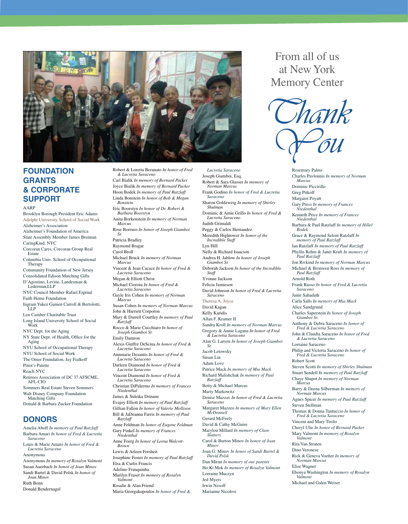

## **FOUNDATION GRANTS & CORPORATE SUPPORT**

AARP

Brooklyn Borough President Eric Adams Adelphi University School of Social Work Alzheimer's Association Alzheimer's Foundation of America State Assembly Member James Brennan CaringKind, NYC Corcoran Cares, Corcoran Group Real Estate Columbia Univ. School of Occupational Therapy Community Foundation of New Jersey Consolidated Edison Matching Gifts D'Agostino, Levine, Landesman & Lederman, LLP NYC Council Member Rafael Espinal Faith Home Foundation Ingram Yukez Gainen Carroll & Bertolotti, LLP Len Camber Charitable Trust Long Island University School of Social Work NYC Dept. for the Aging NY State Dept. of Health, Office for the Aging NYU School of Occupational Therapy NYU School of Social Work The Omer Foundation, Jay Fialkoff Pinot's Palette Reach NYC Retirees Association of DC 37 AFSCME, AFL-CIO Sommers Real Estate Steven Sommers Walt Disney Company Foundation Matching Gifts Donald & Barbara Zucker Foundation **DONORS** Amelia Aboff *In memory of Paul Ratzlaff* 

#### Barbara Amari *In honor of Fred & Lucretia Saraceno* Louis & Marie Amato *In honor of Fred & Lucretia Saraceno* Anonymous Anonymous *In memory of Rosalyn Valmont*  Susan Auerbach *In honor of Joan Minov* Sandi Bartel & David Polsk *In honor of Joan Minov* Ruth Benn Donald Bendernagel

Robert & Loretta Beranato *In honor of Fred & Lucretia Saraceno* Carl Bialik *In memory of Bernard Packer*  Joyce Bialik *In memory of Bernard Packer* Hoon Bodek *In memory of Paul Ratzlaff* Linda Bonstein *In honor of Bob & Megan Bonstein* Eric Boorstyn *In honor of Dr. Robert & Barbara Boorstyn* Anita Borkenstein *In memory of Norman Marcus* Rose Borruso *In honor of Joseph Giamboi Sr.* Patricia Bradley Raymond Bragar Carol Broll Michael Bruck *In memory of Norman Marcus* Vincent & Jean Cacace *In honor of Fred & Lucretia Saraceno* Megan & Elliott Christ Michael Cioroiu *In honor of Fred & Lucretia Saraceno* Gayle Iris Cohen *In memory of Norman Marcus* Susan Cohen *In memory of Norman Marcus* John & Harriett Corporon Mary & Darrell Courtley *In memory of Paul Ratzlaff* Rocco & Marie Cucchiaro *In honor of Joseph Giamboi Sr.* Emily Damron Alexis Giuffre DeScina *In honor of Fred & Lucretia Saraceno* Annmarie Desantis *In honor of Fred & Lucretia Saraceno* Darleen Diamond *In honor of Fred & Lucretia Saraceno* Vincent Diamond *In honor of Fred & Lucretia Saraceno* Christian DiPalermo *In memory of Frances Niedenthal* James & Suleika Drinane Evajoy Elliott *In memory of Paul Ratzlaff* Gillian Fallon *In honor of Valerie Mollison* Bill & JaDeanna Farris *In memory of Paul Ratzlaff* Anne Feldman *In honor of Eugene Feldman* Gary Finkel *In memory of Frances Niedenthal* Anne Foerg *In honor of Lorna Walcott-Brown* Lewis & Arleen Forsheit Josephine Foster *In memory of Paul Ratzlaff* Elsa & Curtis Francis Adelino Franquinha Marilyn Fraser *In memory of Rosalyn Valmont* Rosalie & Alan Friend

Maria Georgakopoulos *In honor of Fred &* 

*Lucretia Saraceno* Joseph Giamboi, Esq. Robert & Sara Glasser *In memory of Norman Marcus* Frank Godino *In honor of Fred & Lucretia Saraceno* Sharon Goldzweig *In memory of Shirley Shulman* Dominic & Amie Grillo *In honor of Fred & Lucretia Saraceno* Judith Grimaldi Peggy & Carlos Hernandez Meredith Hightower *In honor of the Incredible Staff* Lyn Hill Nelly & Richard Isaacson Andrea H. Jablow *In honor of Joseph Giamboi Sr.*  Deborah Jackson *In honor of the Incredible Staff* Yvonne Jackson Felicia Jamieson David Johnson *In honor of Fred & Lucretia Saraceno* Theresa A. Joyce David Kagan Kelly Karidis Allan F. Kramer II Sandra Kroll *In memory of Norman Marcus* Gregory & Annie Lagana *In honor of Fred & Lucretia Saraceno* Alan G. Larson *In honor of Joseph Giamboi Sr.* Jacob Letowsky Susan Lin Adam Love Patrice Mack *In memory of Mia Mack* Richard Malishchak *In memory of Paul Ratzlaff* Betty & Michael Marcus Marty Markowitz Denise Mazzav *In honor of Fred & Lucretia Saraceno* Margaret Mazzeo *In memory of Mary Ellen McDonnell* Gerard McFeely David & Cathy McGuire Marylou Millard *In memory of Clare Slattery* Carol & Burton Minov *In honor of Joan Minov* Joan G. Minov *In honor of Sandi Bartel & David Polsk* Dan Miran *In memory of our parents* Ho Ki Mok *In memory of Rosalyn Valmont* Lorraine Muczyn Jed Myers Irwin Nesoff

Marianne Nicolosi

# From all of us at New York Memory Center



Rosemary Palms Charles Pavlounis *In memory of Norman Marcus* Dominic Piccirillo Greg Pitkoff Margaret Poyatt Gary Press *In memory of Frances Niedenthal* Kenneth Price *In memory of Frances Niedenthal* Barbara & Paul Ratzlaff *In memory of Hillel Bodek*  Grace & Raymond Selent Ratzlaff *In memory of Paul Ratzlaff* Ian Ratzlaff *In memory of Paul Ratzlaff* Phyllis Rehm & Janet Kraft *In memory of Paul Ratzlaff* Jon Rivkind *In memory of Norman Marcus* Michael & Bronwen Ross *In memory of Paul Ratzlaff* Arnold Roth Frank Russo *In honor of Fred & Lucretia Saraceno* Junie Sahadath Carla Salls *In memory of Mia Mack* Alice Sandgrund Charles Saperstein *In honor of Joseph Giamboi Sr.* Anthony & Debra Saraceno *In honor of Fred & Lucretia Saraceno* John & Claudia Saraceno *In honor of Fred & Lucretia Saraceno* Lorraine Saraceno Philip and Victoria Saraceno *In honor of Fred & Lucretia Saraceno* Robert Scott Steven Scotti *In memory of Shirley Shulman* Stuart Sendell *In memory of Paul Ratzlaff* Chaye Shapot *In memory of Norman Marcus* Barry & Deena Silberman *In memory of Norman Marcus* Agnes Spicer *In memory of Paul Ratzlaff* Steven Stellman Thomas & Donna Tantuccio *In honor of Fred & Lucretia Saraceno* Vincent and Mary Tirolo Cheryl Ulie *In honor of Bernard Packer* Mary Valmont *In memory of Rosalyn Valmont*  Rita Van Straten Dino Veronese Rick & Geneva Voetter *In memory of Norman Marcus* Elise Wagner Ebonya Washington *In memory of Rosalyn Valmont*  Michael and Galen Weiser